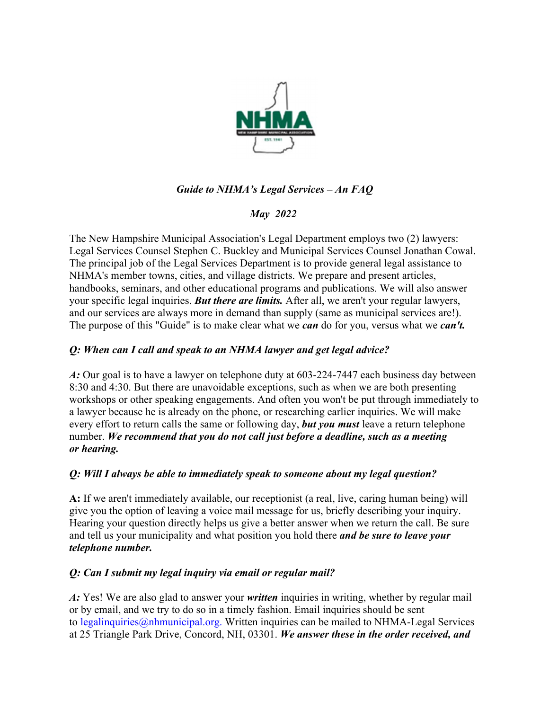

# *Guide to NHMA's Legal Services – An FAQ*

## *May 2022*

The New Hampshire Municipal Association's Legal Department employs two (2) lawyers: Legal Services Counsel Stephen C. Buckley and Municipal Services Counsel Jonathan Cowal. The principal job of the Legal Services Department is to provide general legal assistance to NHMA's member towns, cities, and village districts. We prepare and present articles, handbooks, seminars, and other educational programs and publications. We will also answer your specific legal inquiries. *But there are limits.* After all, we aren't your regular lawyers, and our services are always more in demand than supply (same as municipal services are!). The purpose of this "Guide" is to make clear what we *can* do for you, versus what we *can't.*

## *Q: When can I call and speak to an NHMA lawyer and get legal advice?*

*A:* Our goal is to have a lawyer on telephone duty at 603-224-7447 each business day between 8:30 and 4:30. But there are unavoidable exceptions, such as when we are both presenting workshops or other speaking engagements. And often you won't be put through immediately to a lawyer because he is already on the phone, or researching earlier inquiries. We will make every effort to return calls the same or following day, *but you must* leave a return telephone number. *We recommend that you do not call just before a deadline, such as a meeting or hearing.*

#### *Q: Will I always be able to immediately speak to someone about my legal question?*

**A:** If we aren't immediately available, our receptionist (a real, live, caring human being) will give you the option of leaving a voice mail message for us, briefly describing your inquiry. Hearing your question directly helps us give a better answer when we return the call. Be sure and tell us your municipality and what position you hold there *and be sure to leave your telephone number.*

## *Q: Can I submit my legal inquiry via email or regular mail?*

*A:* Yes! We are also glad to answer your *written* inquiries in writing, whether by regular mail or by email, and we try to do so in a timely fashion. Email inquiries should be sent to legalinquiries  $\omega$ nhmunicipal.org. Written inquiries can be mailed to NHMA-Legal Services at 25 Triangle Park Drive, Concord, NH, 03301. *We answer these in the order received, and*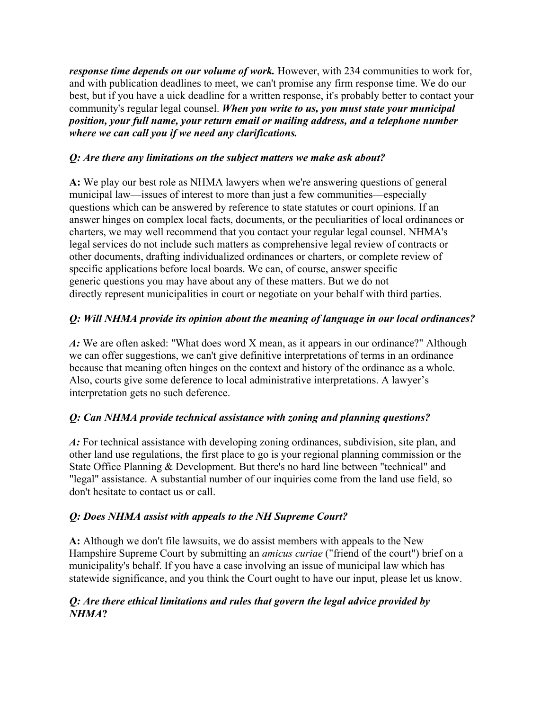*response time depends on our volume of work*. However, with 234 communities to work for, and with publication deadlines to meet, we can't promise any firm response time. We do our best, but if you have a uick deadline for a written response, it's probably better to contact your community's regular legal counsel. *When you write to us, you must state your municipal position, your full name, your return email or mailing address, and a telephone number where we can call you if we need any clarifications.*

#### *Q: Are there any limitations on the subject matters we make ask about?*

**A:** We play our best role as NHMA lawyers when we're answering questions of general municipal law—issues of interest to more than just a few communities—especially questions which can be answered by reference to state statutes or court opinions. If an answer hinges on complex local facts, documents, or the peculiarities of local ordinances or charters, we may well recommend that you contact your regular legal counsel. NHMA's legal services do not include such matters as comprehensive legal review of contracts or other documents, drafting individualized ordinances or charters, or complete review of specific applications before local boards. We can, of course, answer specific generic questions you may have about any of these matters. But we do not directly represent municipalities in court or negotiate on your behalf with third parties.

# *Q: Will NHMA provide its opinion about the meaning of language in our local ordinances?*

*A:* We are often asked: "What does word X mean, as it appears in our ordinance?" Although we can offer suggestions, we can't give definitive interpretations of terms in an ordinance because that meaning often hinges on the context and history of the ordinance as a whole. Also, courts give some deference to local administrative interpretations. A lawyer's interpretation gets no such deference.

## *Q: Can NHMA provide technical assistance with zoning and planning questions?*

*A:* For technical assistance with developing zoning ordinances, subdivision, site plan, and other land use regulations, the first place to go is your regional planning commission or the State Office Planning & Development. But there's no hard line between "technical" and "legal" assistance. A substantial number of our inquiries come from the land use field, so don't hesitate to contact us or call.

## *Q: Does NHMA assist with appeals to the NH Supreme Court?*

**A:** Although we don't file lawsuits, we do assist members with appeals to the New Hampshire Supreme Court by submitting an *amicus curiae* ("friend of the court") brief on a municipality's behalf. If you have a case involving an issue of municipal law which has statewide significance, and you think the Court ought to have our input, please let us know.

### *Q: Are there ethical limitations and rules that govern the legal advice provided by NHMA***?**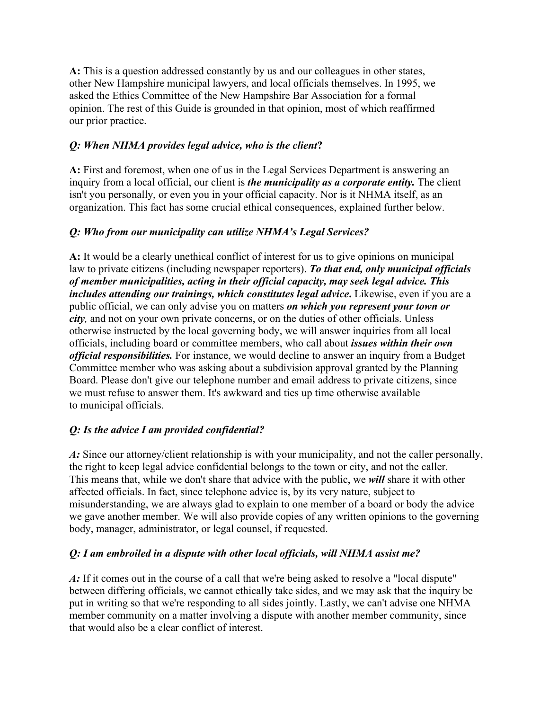**A:** This is a question addressed constantly by us and our colleagues in other states, other New Hampshire municipal lawyers, and local officials themselves. In 1995, we asked the Ethics Committee of the New Hampshire Bar Association for a formal opinion. The rest of this Guide is grounded in that opinion, most of which reaffirmed our prior practice.

### *Q: When NHMA provides legal advice, who is the client***?**

**A:** First and foremost, when one of us in the Legal Services Department is answering an inquiry from a local official, our client is *the municipality as a corporate entity.* The client isn't you personally, or even you in your official capacity. Nor is it NHMA itself, as an organization. This fact has some crucial ethical consequences, explained further below.

### *Q: Who from our municipality can utilize NHMA's Legal Services?*

**A:** It would be a clearly unethical conflict of interest for us to give opinions on municipal law to private citizens (including newspaper reporters). *To that end, only municipal officials of member municipalities, acting in their official capacity, may seek legal advice. This includes attending our trainings, which constitutes legal advice***.** Likewise, even if you are a public official, we can only advise you on matters *on which you represent your town or city,* and not on your own private concerns, or on the duties of other officials. Unless otherwise instructed by the local governing body, we will answer inquiries from all local officials, including board or committee members, who call about *issues within their own official responsibilities.* For instance, we would decline to answer an inquiry from a Budget Committee member who was asking about a subdivision approval granted by the Planning Board. Please don't give our telephone number and email address to private citizens, since we must refuse to answer them. It's awkward and ties up time otherwise available to municipal officials.

#### *Q: Is the advice I am provided confidential?*

*A:* Since our attorney/client relationship is with your municipality, and not the caller personally, the right to keep legal advice confidential belongs to the town or city, and not the caller. This means that, while we don't share that advice with the public, we *will* share it with other affected officials. In fact, since telephone advice is, by its very nature, subject to misunderstanding, we are always glad to explain to one member of a board or body the advice we gave another member. We will also provide copies of any written opinions to the governing body, manager, administrator, or legal counsel, if requested.

#### *Q: I am embroiled in a dispute with other local officials, will NHMA assist me?*

*A:* If it comes out in the course of a call that we're being asked to resolve a "local dispute" between differing officials, we cannot ethically take sides, and we may ask that the inquiry be put in writing so that we're responding to all sides jointly. Lastly, we can't advise one NHMA member community on a matter involving a dispute with another member community, since that would also be a clear conflict of interest.